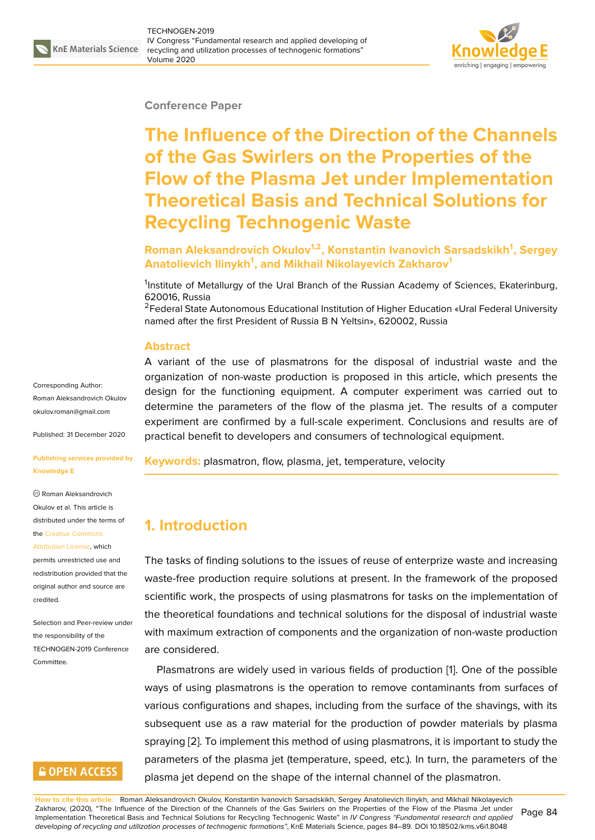#### **Conference Paper**

# **The Influence of the Direction of the Channels of the Gas Swirlers on the Properties of the Flow of the Plasma Jet under Implementation Theoretical Basis and Technical Solutions for Recycling Technogenic Waste**

**Roman Aleksandrovich Okulov1,2, Konstantin Ivanovich Sarsadskikh<sup>1</sup> , Sergey Anatolievich Ilinykh<sup>1</sup> , and Mikhail Nikolayevich Zakharov<sup>1</sup>**

<sup>1</sup>Institute of Metallurgy of the Ural Branch of the Russian Academy of Sciences, Ekaterinburg, 620016, Russia

<sup>2</sup>Federal State Autonomous Educational Institution of Higher Education «Ural Federal University named after the first President of Russia B N Yeltsin», 620002, Russia

#### **Abstract**

A variant of the use of plasmatrons for the disposal of industrial waste and the organization of non-waste production is proposed in this article, which presents the design for the functioning equipment. A computer experiment was carried out to determine the parameters of the flow of the plasma jet. The results of a computer experiment are confirmed by a full-scale experiment. Conclusions and results are of practical benefit to developers and consumers of technological equipment.

**Keywords:** plasmatron, flow, plasma, jet, temperature, velocity

# **1. Introduction**

The tasks of finding solutions to the issues of reuse of enterprize waste and increasing waste-free production require solutions at present. In the framework of the proposed scientific work, the prospects of using plasmatrons for tasks on the implementation of the theoretical foundations and technical solutions for the disposal of industrial waste with maximum extraction of components and the organization of non-waste production are considered.

Plasmatrons are widely used in various fields of production [1]. One of the possible ways of using plasmatrons is the operation to remove contaminants from surfaces of various configurations and shapes, including from the surface of the shavings, with its subsequent use as a raw material for the production of powd[e](#page-5-0)r materials by plasma spraying [2]. To implement this method of using plasmatrons, it is important to study the parameters of the plasma jet (temperature, speed, etc.). In turn, the parameters of the plasma jet depend on the shape of the internal channel of the plasmatron.

Corresponding Author: Roman Aleksandrovich Okulov okulov.roman@gmail.com

Published: 31 December 2020

#### **[Publishing services provi](mailto:okulov.roman@gmail.com)ded by Knowledge E**

Roman Aleksandrovich Okulov et al. This article is distributed under the terms of the Creative Commons

Attribution License, which permits unrestricted use and redistribution provided that the orig[inal author and sou](https://creativecommons.org/licenses/by/4.0/)rce are [credited.](https://creativecommons.org/licenses/by/4.0/)

Selection and Peer-review under the responsibility of the TECHNOGEN-2019 Conference Committee.

### **GOPEN ACCESS**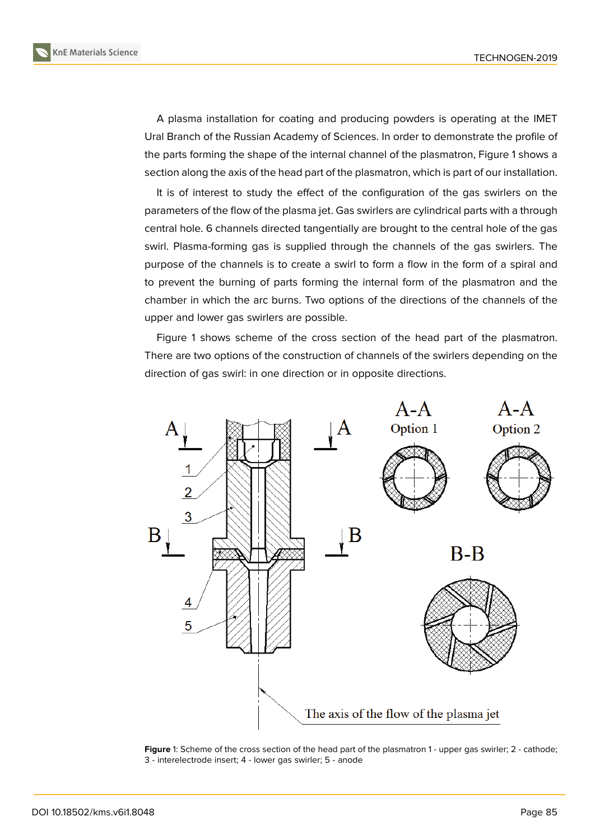A plasma installation for coating and producing powders is operating at the IMET Ural Branch of the Russian Academy of Sciences. In order to demonstrate the profile of the parts forming the shape of the internal channel of the plasmatron, Figure 1 shows a section along the axis of the head part of the plasmatron, which is part of our installation.

It is of interest to study the effect of the configuration of the gas swirlers on the parameters of the flow of the plasma jet. Gas swirlers are cylindrical parts with [a](#page-1-0) through central hole. 6 channels directed tangentially are brought to the central hole of the gas swirl. Plasma-forming gas is supplied through the channels of the gas swirlers. The purpose of the channels is to create a swirl to form a flow in the form of a spiral and to prevent the burning of parts forming the internal form of the plasmatron and the chamber in which the arc burns. Two options of the directions of the channels of the upper and lower gas swirlers are possible.

Figure 1 shows scheme of the cross section of the head part of the plasmatron. There are two options of the construction of channels of the swirlers depending on the direction of gas swirl: in one direction or in opposite directions.



<span id="page-1-0"></span>Figure 1: Scheme of the cross section of the head part of the plasmatron 1 - upper gas swirler; 2 - cathode; 3 - interelectrode insert; 4 - lower gas swirler; 5 - anode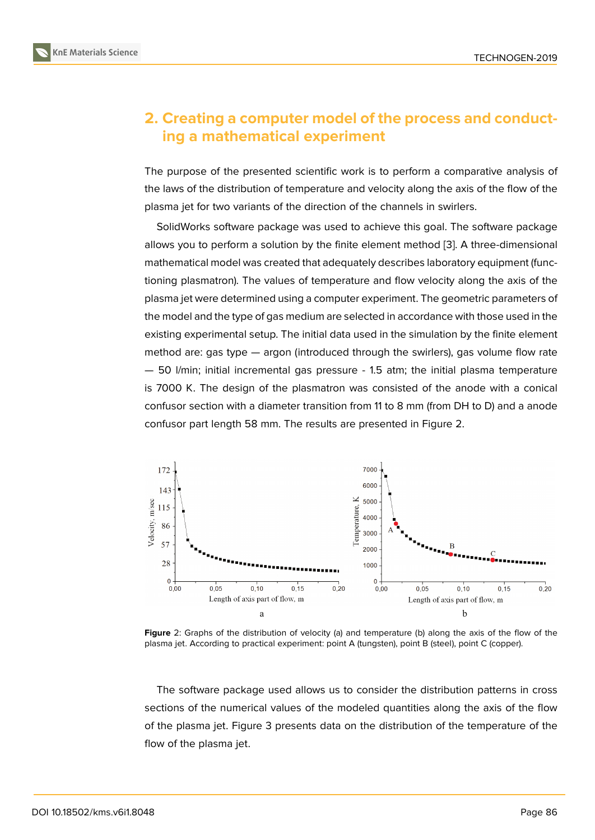### **2. Creating a computer model of the process and conducting a mathematical experiment**

The purpose of the presented scientific work is to perform a comparative analysis of the laws of the distribution of temperature and velocity along the axis of the flow of the plasma jet for two variants of the direction of the channels in swirlers.

SolidWorks software package was used to achieve this goal. The software package allows you to perform a solution by the finite element method [3]. A three-dimensional mathematical model was created that adequately describes laboratory equipment (functioning plasmatron). The values of temperature and flow velocity along the axis of the plasma jet were determined using a computer experiment. The [ge](#page-5-2)ometric parameters of the model and the type of gas medium are selected in accordance with those used in the existing experimental setup. The initial data used in the simulation by the finite element method are: gas type — argon (introduced through the swirlers), gas volume flow rate — 50 l/min; initial incremental gas pressure - 1.5 atm; the initial plasma temperature is 7000 K. The design of the plasmatron was consisted of the anode with a conical confusor section with a diameter transition from 11 to 8 mm (from DH to D) and a anode confusor part length 58 mm. The results are presented in Figure 2.



**Figure** 2: Graphs of the distribution of velocity (a) and temperature (b) along the axis of the flow of the plasma jet. According to practical experiment: point A (tungsten), point B (steel), point C (copper).

The software package used allows us to consider the distribution patterns in cross sections of the numerical values of the modeled quantities along the axis of the flow of the plasma jet. Figure 3 presents data on the distribution of the temperature of the flow of the plasma jet.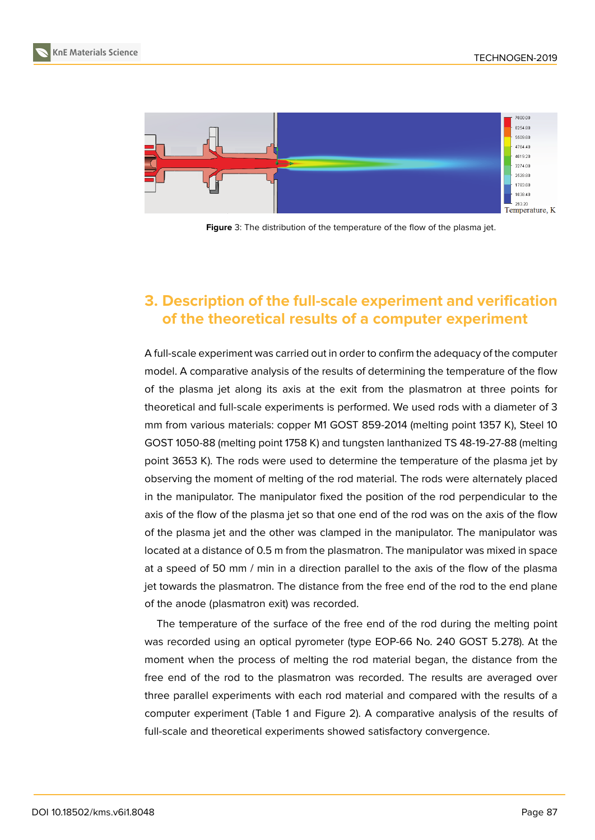

**Figure** 3: The distribution of the temperature of the flow of the plasma jet.

# **3. Description of the full-scale experiment and verification of the theoretical results of a computer experiment**

A full-scale experiment was carried out in order to confirm the adequacy of the computer model. A comparative analysis of the results of determining the temperature of the flow of the plasma jet along its axis at the exit from the plasmatron at three points for theoretical and full-scale experiments is performed. We used rods with a diameter of 3 mm from various materials: copper M1 GOST 859-2014 (melting point 1357 K), Steel 10 GOST 1050-88 (melting point 1758 K) and tungsten lanthanized TS 48-19-27-88 (melting point 3653 K). The rods were used to determine the temperature of the plasma jet by observing the moment of melting of the rod material. The rods were alternately placed in the manipulator. The manipulator fixed the position of the rod perpendicular to the axis of the flow of the plasma jet so that one end of the rod was on the axis of the flow of the plasma jet and the other was clamped in the manipulator. The manipulator was located at a distance of 0.5 m from the plasmatron. The manipulator was mixed in space at a speed of 50 mm / min in a direction parallel to the axis of the flow of the plasma jet towards the plasmatron. The distance from the free end of the rod to the end plane of the anode (plasmatron exit) was recorded.

The temperature of the surface of the free end of the rod during the melting point was recorded using an optical pyrometer (type EOP-66 No. 240 GOST 5.278). At the moment when the process of melting the rod material began, the distance from the free end of the rod to the plasmatron was recorded. The results are averaged over three parallel experiments with each rod material and compared with the results of a computer experiment (Table 1 and Figure 2). A comparative analysis of the results of full-scale and theoretical experiments showed satisfactory convergence.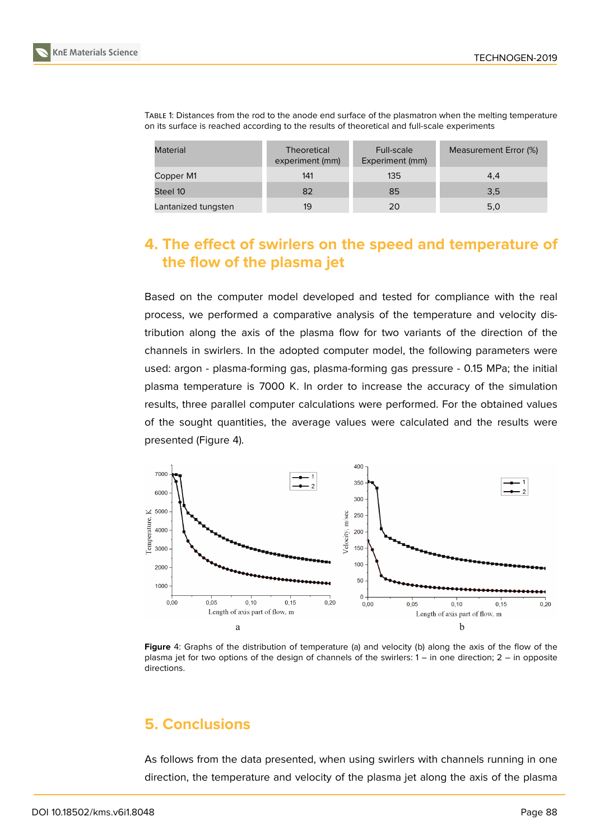| Material            | <b>Theoretical</b><br>experiment (mm) | Full-scale<br>Experiment (mm) | Measurement Error (%) |
|---------------------|---------------------------------------|-------------------------------|-----------------------|
| Copper M1           | 141                                   | 135                           | 4,4                   |
| Steel 10            | 82                                    | 85                            | 3,5                   |
| Lantanized tungsten | 19                                    | 20                            | 5,0                   |

TABLE 1: Distances from the rod to the anode end surface of the plasmatron when the melting temperature on its surface is reached according to the results of theoretical and full-scale experiments

# **4. The effect of swirlers on the speed and temperature of the flow of the plasma jet**

Based on the computer model developed and tested for compliance with the real process, we performed a comparative analysis of the temperature and velocity distribution along the axis of the plasma flow for two variants of the direction of the channels in swirlers. In the adopted computer model, the following parameters were used: argon - plasma-forming gas, plasma-forming gas pressure - 0.15 MPa; the initial plasma temperature is 7000 K. In order to increase the accuracy of the simulation results, three parallel computer calculations were performed. For the obtained values of the sought quantities, the average values were calculated and the results were presented (Figure 4).



**Figure** 4: Graphs of the distribution of temperature (a) and velocity (b) along the axis of the flow of the plasma jet for two options of the design of channels of the swirlers: 1 – in one direction; 2 – in opposite directions.

# **5. Conclusions**

As follows from the data presented, when using swirlers with channels running in one direction, the temperature and velocity of the plasma jet along the axis of the plasma